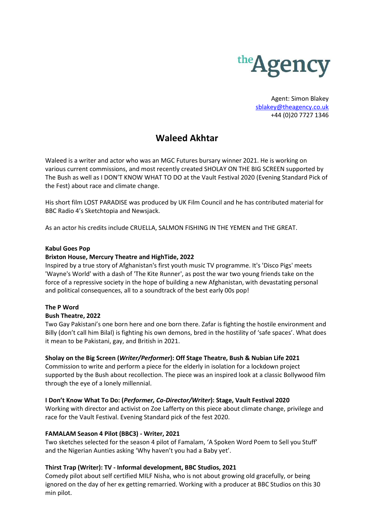

Agent: Simon Blakey [sblakey@theagency.co.uk](mailto:sblakey@theagency.co.uk) +44 (0)20 7727 1346

# **Waleed Akhtar**

Waleed is a writer and actor who was an MGC Futures bursary winner 2021. He is working on various current commissions, and most recently created SHOLAY ON THE BIG SCREEN supported by The Bush as well as I DON'T KNOW WHAT TO DO at the Vault Festival 2020 (Evening Standard Pick of the Fest) about race and climate change.

His short film LOST PARADISE was produced by UK Film Council and he has contributed material for BBC Radio 4's Sketchtopia and Newsjack.

As an actor his credits include CRUELLA, SALMON FISHING IN THE YEMEN and THE GREAT.

## **Kabul Goes Pop**

## **Brixton House, Mercury Theatre and HighTide, 2022**

Inspired by a true story of Afghanistan's first youth music TV programme. It's 'Disco Pigs' meets 'Wayne's World' with a dash of 'The Kite Runner', as post the war two young friends take on the force of a repressive society in the hope of building a new Afghanistan, with devastating personal and political consequences, all to a soundtrack of the best early 00s pop!

## **The P Word**

#### **Bush Theatre, 2022**

Two Gay Pakistani's one born here and one born there. Zafar is fighting the hostile environment and Billy (don't call him Bilal) is fighting his own demons, bred in the hostility of 'safe spaces'. What does it mean to be Pakistani, gay, and British in 2021.

## **Sholay on the Big Screen (***Writer/Performer***): Off Stage Theatre, Bush & Nubian Life 2021**

Commission to write and perform a piece for the elderly in isolation for a lockdown project supported by the Bush about recollection. The piece was an inspired look at a classic Bollywood film through the eye of a lonely millennial.

#### **I Don't Know What To Do: (***Performer, Co-Director/Writer***): Stage, Vault Festival 2020**

Working with director and activist on Zoe Lafferty on this piece about climate change, privilege and race for the Vault Festival. Evening Standard pick of the fest 2020.

## **FAMALAM Season 4 Pilot (BBC3) - Writer, 2021**

Two sketches selected for the season 4 pilot of Famalam, 'A Spoken Word Poem to Sell you Stuff' and the Nigerian Aunties asking 'Why haven't you had a Baby yet'.

## **Thirst Trap (Writer): TV - Informal development, BBC Studios, 2021**

Comedy pilot about self certified MILF Nisha, who is not about growing old gracefully, or being ignored on the day of her ex getting remarried. Working with a producer at BBC Studios on this 30 min pilot.